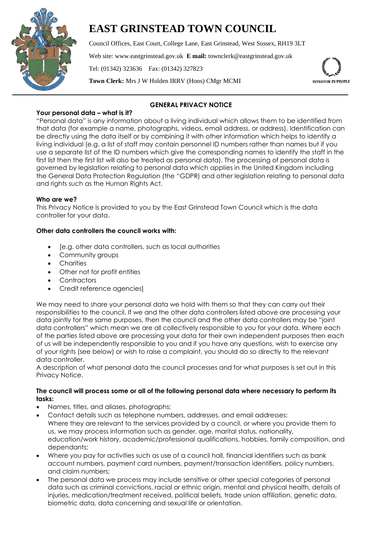

# **EAST GRINSTEAD TOWN COUNCIL**

Council Offices, East Court, College Lane, East Grinstead, West Sussex, RH19 3LT Web site: www.eastgrinstead.gov.uk **E mail:** townclerk@eastgrinstead.gov.uk Tel: (01342) 323636 Fax: (01342) 327823 **Town Clerk:** Mrs J W Holden IRRV (Hons) CMgr MCMI



# **GENERAL PRIVACY NOTICE**

**Your personal data – what is it?** "Personal data" is any information about a living individual which allows them to be identified from that data (for example a name, photographs, videos, email address, or address). Identification can be directly using the data itself or by combining it with other information which helps to identify a living individual (e.g. a list of staff may contain personnel ID numbers rather than names but if you use a separate list of the ID numbers which give the corresponding names to identify the staff in the first list then the first list will also be treated as personal data). The processing of personal data is governed by legislation relating to personal data which applies in the United Kingdom including the General Data Protection Regulation (the "GDPR) and other legislation relating to personal data and rights such as the Human Rights Act.

# **Who are we?**

This Privacy Notice is provided to you by the East Grinstead Town Council which is the data controller for your data.

# **Other data controllers the council works with:**

- [e.g. other data controllers, such as local authorities
- Community groups
- Charities
- Other not for profit entities
- Contractors
- Credit reference agencies]

We may need to share your personal data we hold with them so that they can carry out their responsibilities to the council. If we and the other data controllers listed above are processing your data jointly for the same purposes, then the council and the other data controllers may be "joint data controllers" which mean we are all collectively responsible to you for your data. Where each of the parties listed above are processing your data for their own independent purposes then each of us will be independently responsible to you and if you have any questions, wish to exercise any of your rights (see below) or wish to raise a complaint, you should do so directly to the relevant data controller.

A description of what personal data the council processes and for what purposes is set out in this Privacy Notice.

# **The council will process some or all of the following personal data where necessary to perform its tasks:**

- Names, titles, and aliases, photographs;
- Contact details such as telephone numbers, addresses, and email addresses; Where they are relevant to the services provided by a council, or where you provide them to us, we may process information such as gender, age, marital status, nationality, education/work history, academic/professional qualifications, hobbies, family composition, and dependants;
- Where you pay for activities such as use of a council hall, financial identifiers such as bank account numbers, payment card numbers, payment/transaction identifiers, policy numbers, and claim numbers;
- The personal data we process may include sensitive or other special categories of personal data such as criminal convictions, racial or ethnic origin, mental and physical health, details of injuries, medication/treatment received, political beliefs, trade union affiliation, genetic data, biometric data, data concerning and sexual life or orientation.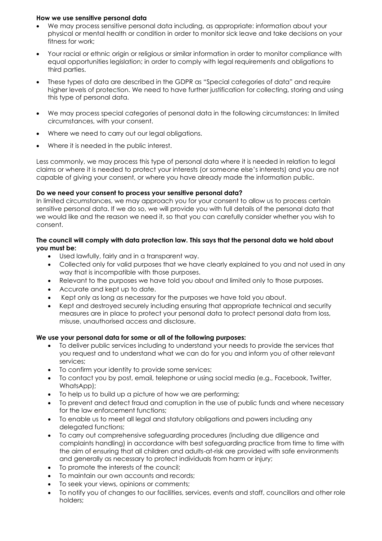#### **How we use sensitive personal data**

- We may process sensitive personal data including, as appropriate: information about your physical or mental health or condition in order to monitor sick leave and take decisions on your fitness for work;
- Your racial or ethnic origin or religious or similar information in order to monitor compliance with equal opportunities legislation; in order to comply with legal requirements and obligations to third parties.
- These types of data are described in the GDPR as "Special categories of data" and require higher levels of protection. We need to have further justification for collecting, storing and using this type of personal data.
- We may process special categories of personal data in the following circumstances: In limited circumstances, with your consent.
- Where we need to carry out our legal obligations.
- Where it is needed in the public interest.

Less commonly, we may process this type of personal data where it is needed in relation to legal claims or where it is needed to protect your interests (or someone else's interests) and you are not capable of giving your consent, or where you have already made the information public.

# **Do we need your consent to process your sensitive personal data?**

In limited circumstances, we may approach you for your consent to allow us to process certain sensitive personal data. If we do so, we will provide you with full details of the personal data that we would like and the reason we need it, so that you can carefully consider whether you wish to consent.

# **The council will comply with data protection law. This says that the personal data we hold about you must be:**

- Used lawfully, fairly and in a transparent way.
- Collected only for valid purposes that we have clearly explained to you and not used in any way that is incompatible with those purposes.
- Relevant to the purposes we have told you about and limited only to those purposes.
- Accurate and kept up to date.
- Kept only as long as necessary for the purposes we have told you about.
- Kept and destroyed securely including ensuring that appropriate technical and security measures are in place to protect your personal data to protect personal data from loss, misuse, unauthorised access and disclosure.

#### **We use your personal data for some or all of the following purposes:**

- To deliver public services including to understand your needs to provide the services that you request and to understand what we can do for you and inform you of other relevant services;
- To confirm your identity to provide some services;
- To contact you by post, email, telephone or using social media (e.g., Facebook, Twitter, WhatsApp);
- To help us to build up a picture of how we are performing;
- To prevent and detect fraud and corruption in the use of public funds and where necessary for the law enforcement functions;
- To enable us to meet all legal and statutory obligations and powers including any delegated functions;
- To carry out comprehensive safeguarding procedures (including due diligence and complaints handling) in accordance with best safeguarding practice from time to time with the aim of ensuring that all children and adults-at-risk are provided with safe environments and generally as necessary to protect individuals from harm or injury;
- To promote the interests of the council;
- To maintain our own accounts and records;
- To seek your views, opinions or comments;
- To notify you of changes to our facilities, services, events and staff, councillors and other role holders;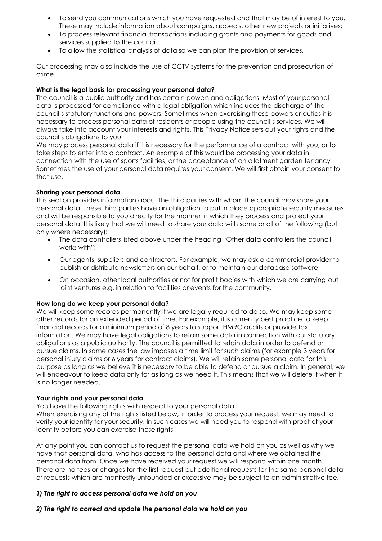- To send you communications which you have requested and that may be of interest to you. These may include information about campaigns, appeals, other new projects or initiatives;
- To process relevant financial transactions including grants and payments for goods and services supplied to the council
- To allow the statistical analysis of data so we can plan the provision of services.

Our processing may also include the use of CCTV systems for the prevention and prosecution of crime.

#### **What is the legal basis for processing your personal data?**

The council is a public authority and has certain powers and obligations. Most of your personal data is processed for compliance with a legal obligation which includes the discharge of the council's statutory functions and powers. Sometimes when exercising these powers or duties it is necessary to process personal data of residents or people using the council's services. We will always take into account your interests and rights. This Privacy Notice sets out your rights and the council's obligations to you.

We may process personal data if it is necessary for the performance of a contract with you, or to take steps to enter into a contract. An example of this would be processing your data in connection with the use of sports facilities, or the acceptance of an allotment garden tenancy Sometimes the use of your personal data requires your consent. We will first obtain your consent to that use.

# **Sharing your personal data**

This section provides information about the third parties with whom the council may share your personal data. These third parties have an obligation to put in place appropriate security measures and will be responsible to you directly for the manner in which they process and protect your personal data. It is likely that we will need to share your data with some or all of the following (but only where necessary):

- The data controllers listed above under the heading "Other data controllers the council works with";
- Our agents, suppliers and contractors. For example, we may ask a commercial provider to publish or distribute newsletters on our behalf, or to maintain our database software;
- On occasion, other local authorities or not for profit bodies with which we are carrying out joint ventures e.g. in relation to facilities or events for the community.

#### **How long do we keep your personal data?**

We will keep some records permanently if we are legally required to do so. We may keep some other records for an extended period of time. For example, it is currently best practice to keep financial records for a minimum period of 8 years to support HMRC audits or provide tax information. We may have legal obligations to retain some data in connection with our statutory obligations as a public authority. The council is permitted to retain data in order to defend or pursue claims. In some cases the law imposes a time limit for such claims (for example 3 years for personal injury claims or 6 years for contract claims). We will retain some personal data for this purpose as long as we believe it is necessary to be able to defend or pursue a claim. In general, we will endeavour to keep data only for as long as we need it. This means that we will delete it when it is no longer needed.

#### **Your rights and your personal data**

You have the following rights with respect to your personal data:

When exercising any of the rights listed below, in order to process your request, we may need to verify your identity for your security. In such cases we will need you to respond with proof of your identity before you can exercise these rights.

At any point you can contact us to request the personal data we hold on you as well as why we have that personal data, who has access to the personal data and where we obtained the personal data from. Once we have received your request we will respond within one month. There are no fees or charges for the first request but additional requests for the same personal data or requests which are manifestly unfounded or excessive may be subject to an administrative fee.

#### *1) The right to access personal data we hold on you*

# *2) The right to correct and update the personal data we hold on you*